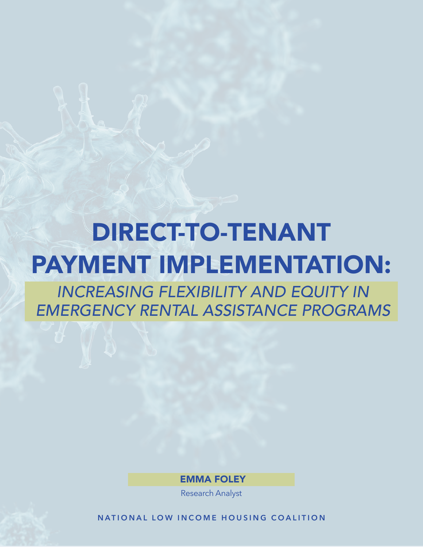# DIRECT-TO-TENANT PAYMENT IMPLEMENTATION:

*INCREASING FLEXIBILITY AND EQUITY IN EMERGENCY RENTAL ASSISTANCE PROGRAMS*

EMMA FOLEY

Research Analyst

NATIONAL LOW INCOME HOUSING COALITION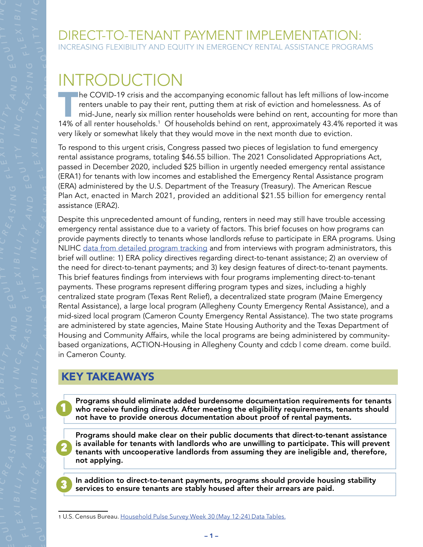# INTRODUCTION

**T<sub>TIP</sub>** the COVID-19 crisis and the accompanying economic fallout has left millions of low-income renters unable to pay their rent, putting them at risk of eviction and homelessness. As of mid-June, nearly six million renter households were behind on rent, accounting for more than 14% of all renter households.<sup>1</sup> Of households behind on rent, approximately 43.4% reported it was very likely or somewhat likely that they would move in the next month due to eviction.

To respond to this urgent crisis, Congress passed two pieces of legislation to fund emergency rental assistance programs, totaling \$46.55 billion. The 2021 Consolidated Appropriations Act, passed in December 2020, included \$25 billion in urgently needed emergency rental assistance (ERA1) for tenants with low incomes and established the Emergency Rental Assistance program (ERA) administered by the U.S. Department of the Treasury (Treasury). The American Rescue Plan Act, enacted in March 2021, provided an additional \$21.55 billion for emergency rental assistance (ERA2).

Despite this unprecedented amount of funding, renters in need may still have trouble accessing emergency rental assistance due to a variety of factors. This brief focuses on how programs can provide payments directly to tenants whose landlords refuse to participate in ERA programs. Using NLIHC [data from detailed program tracking](https://nlihc.org/era-dashboard) and from interviews with program administrators, this brief will outline: 1) ERA policy directives regarding direct-to-tenant assistance; 2) an overview of the need for direct-to-tenant payments; and 3) key design features of direct-to-tenant payments. This brief features findings from interviews with four programs implementing direct-to-tenant payments. These programs represent differing program types and sizes, including a highly centralized state program (Texas Rent Relief), a decentralized state program (Maine Emergency Rental Assistance), a large local program (Allegheny County Emergency Rental Assistance), and a mid-sized local program (Cameron County Emergency Rental Assistance). The two state programs are administered by state agencies, Maine State Housing Authority and the Texas Department of Housing and Community Affairs, while the local programs are being administered by communitybased organizations, ACTION-Housing in Allegheny County and cdcb | come dream. come build. in Cameron County.

# KEY TAKEAWAYS

*A*

*E Q*

*A*

*S I N*

*G F*

1

2

3

*A NDE Q*

*S I N*

*G F*

*A NDE Q*

> Programs should eliminate added burdensome documentation requirements for tenants who receive funding directly. After meeting the eligibility requirements, tenants should not have to provide onerous documentation about proof of rental payments.

> Programs should make clear on their public documents that direct-to-tenant assistance is available for tenants with landlords who are unwilling to participate. This will prevent tenants with uncooperative landlords from assuming they are ineligible and, therefore, not applying.

In addition to direct-to-tenant payments, programs should provide housing stability services to ensure tenants are stably housed after their arrears are paid.

<sup>1</sup> U.S. Census Bureau. [Household Pulse Survey Week 30 \(May 12-24\) Data Tables.](https://www.census.gov/programs-surveys/household-pulse-survey/data.html)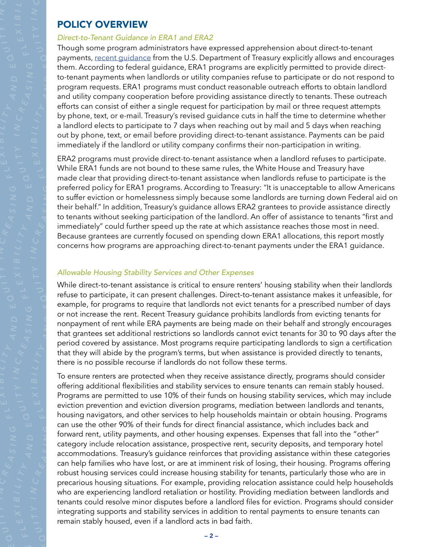#### POLICY OVERVIEW

*A*

*E Q*

*A*

*S I N*

*G F*

*A NDE Q*

*S I N*

*G F*

*A NDE Q*

#### *Direct-to-Tenant Guidance in ERA1 and ERA2*

Though some program administrators have expressed apprehension about direct-to-tenant payments, [recent guidance](https://home.treasury.gov/system/files/136/ERA_FAQs_6-24-21.pdf) from the U.S. Department of Treasury explicitly allows and encourages them. According to federal guidance, ERA1 programs are explicitly permitted to provide directto-tenant payments when landlords or utility companies refuse to participate or do not respond to program requests. ERA1 programs must conduct reasonable outreach efforts to obtain landlord and utility company cooperation before providing assistance directly to tenants. These outreach efforts can consist of either a single request for participation by mail or three request attempts by phone, text, or e-mail. Treasury's revised guidance cuts in half the time to determine whether a landlord elects to participate to 7 days when reaching out by mail and 5 days when reaching out by phone, text, or email before providing direct-to-tenant assistance. Payments can be paid immediately if the landlord or utility company confirms their non-participation in writing.

ERA2 programs must provide direct-to-tenant assistance when a landlord refuses to participate. While ERA1 funds are not bound to these same rules, the White House and Treasury have made clear that providing direct-to-tenant assistance when landlords refuse to participate is the preferred policy for ERA1 programs. According to Treasury: "It is unacceptable to allow Americans to suffer eviction or homelessness simply because some landlords are turning down Federal aid on their behalf." In addition, Treasury's guidance allows ERA2 grantees to provide assistance directly to tenants without seeking participation of the landlord. An offer of assistance to tenants "first and immediately" could further speed up the rate at which assistance reaches those most in need. Because grantees are currently focused on spending down ERA1 allocations, this report mostly concerns how programs are approaching direct-to-tenant payments under the ERA1 guidance.

#### *Allowable Housing Stability Services and Other Expenses*

While direct-to-tenant assistance is critical to ensure renters' housing stability when their landlords refuse to participate, it can present challenges. Direct-to-tenant assistance makes it unfeasible, for example, for programs to require that landlords not evict tenants for a prescribed number of days or not increase the rent. Recent Treasury guidance prohibits landlords from evicting tenants for nonpayment of rent while ERA payments are being made on their behalf and strongly encourages that grantees set additional restrictions so landlords cannot evict tenants for 30 to 90 days after the period covered by assistance. Most programs require participating landlords to sign a certification that they will abide by the program's terms, but when assistance is provided directly to tenants, there is no possible recourse if landlords do not follow these terms.

To ensure renters are protected when they receive assistance directly, programs should consider offering additional flexibilities and stability services to ensure tenants can remain stably housed. Programs are permitted to use 10% of their funds on housing stability services, which may include eviction prevention and eviction diversion programs, mediation between landlords and tenants, housing navigators, and other services to help households maintain or obtain housing. Programs can use the other 90% of their funds for direct financial assistance, which includes back and forward rent, utility payments, and other housing expenses. Expenses that fall into the "other" category include relocation assistance, prospective rent, security deposits, and temporary hotel accommodations. Treasury's guidance reinforces that providing assistance within these categories can help families who have lost, or are at imminent risk of losing, their housing. Programs offering robust housing services could increase housing stability for tenants, particularly those who are in precarious housing situations. For example, providing relocation assistance could help households who are experiencing landlord retaliation or hostility. Providing mediation between landlords and tenants could resolve minor disputes before a landlord files for eviction. Programs should consider integrating supports and stability services in addition to rental payments to ensure tenants can remain stably housed, even if a landlord acts in bad faith.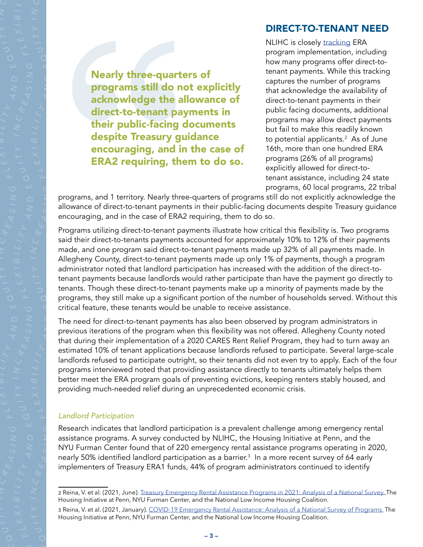#### DIRECT-TO-TENANT NEED

Nearly three-quarters of programs still do not explicitly acknowledge the allowance of direct-to-tenant payments in their public-facing documents despite Treasury guidance encouraging, and in the case of ERA2 requiring, them to do so.

NLIHC is closely [tracking](https://nlihc.org/era-dashboard) ERA program implementation, including how many programs offer direct-totenant payments. While this tracking captures the number of programs that acknowledge the availability of direct-to-tenant payments in their public facing documents, additional programs may allow direct payments but fail to make this readily known to potential applicants.<sup>2</sup> As of June 16th, more than one hundred ERA programs (26% of all programs) explicitly allowed for direct-totenant assistance, including 24 state programs, 60 local programs, 22 tribal

programs, and 1 territory. Nearly three-quarters of programs still do not explicitly acknowledge the allowance of direct-to-tenant payments in their public-facing documents despite Treasury guidance encouraging, and in the case of ERA2 requiring, them to do so.

Programs utilizing direct-to-tenant payments illustrate how critical this flexibility is. Two programs said their direct-to-tenants payments accounted for approximately 10% to 12% of their payments made, and one program said direct-to-tenant payments made up 32% of all payments made. In Allegheny County, direct-to-tenant payments made up only 1% of payments, though a program administrator noted that landlord participation has increased with the addition of the direct-totenant payments because landlords would rather participate than have the payment go directly to tenants. Though these direct-to-tenant payments make up a minority of payments made by the programs, they still make up a significant portion of the number of households served. Without this critical feature, these tenants would be unable to receive assistance.

The need for direct-to-tenant payments has also been observed by program administrators in previous iterations of the program when this flexibility was not offered. Allegheny County noted that during their implementation of a 2020 CARES Rent Relief Program, they had to turn away an estimated 10% of tenant applications because landlords refused to participate. Several large-scale landlords refused to participate outright, so their tenants did not even try to apply. Each of the four programs interviewed noted that providing assistance directly to tenants ultimately helps them better meet the ERA program goals of preventing evictions, keeping renters stably housed, and providing much-needed relief during an unprecedented economic crisis.

#### *Landlord Participation*

*A*

*E Q*

*A*

*S I N*

*G F*

*A NDE Q*

*S I N*

*G F*

*A NDE Q*

> Research indicates that landlord participation is a prevalent challenge among emergency rental assistance programs. A survey conducted by NLIHC, the Housing Initiative at Penn, and the NYU Furman Center found that of 220 emergency rental assistance programs operating in 2020, nearly 50% identified landlord participation as a barrier. $^3\,$  In a more recent survey of 64 early implementers of Treasury ERA1 funds, 44% of program administrators continued to identify

<sup>2</sup> Reina, V. et al. (2021, June). [Treasury Emergency Rental Assistance Programs in 2021: Analysis of a National Survey.](https://nlihc.org/sites/default/files/HIP_NLIHC_Furman_2021_6-22_FINAL_v2.pdf) The Housing Initiative at Penn, NYU Furman Center, and the National Low Income Housing Coalition. 3 Reina, V. et al. (2021, January). [COVID-19 Emergency Rental Assistance: Analysis of a National Survey of Programs.](https://www.housinginitiative.org/uploads/1/3/2/9/132946414/hip_nlihc_furman_brief_final.pdf) The Housing Initiative at Penn, NYU Furman Center, and the National Low Income Housing Coalition.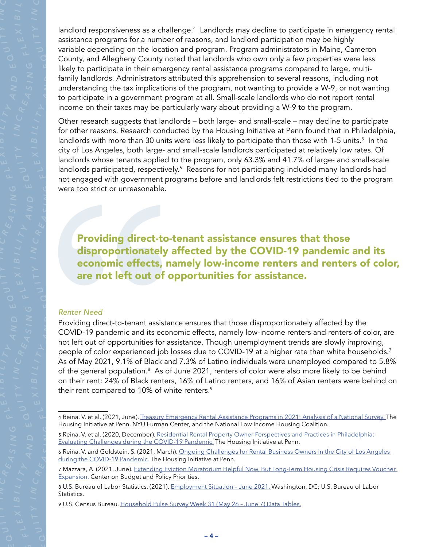landlord responsiveness as a challenge.<sup>4</sup> Landlords may decline to participate in emergency rental assistance programs for a number of reasons, and landlord participation may be highly variable depending on the location and program. Program administrators in Maine, Cameron County, and Allegheny County noted that landlords who own only a few properties were less likely to participate in their emergency rental assistance programs compared to large, multifamily landlords. Administrators attributed this apprehension to several reasons, including not understanding the tax implications of the program, not wanting to provide a W-9, or not wanting to participate in a government program at all. Small-scale landlords who do not report rental income on their taxes may be particularly wary about providing a W-9 to the program.

Other research suggests that landlords – both large- and small-scale – may decline to participate for other reasons. Research conducted by the Housing Initiative at Penn found that in Philadelphia, landlords with more than 30 units were less likely to participate than those with 1-5 units.<sup>5</sup> In the city of Los Angeles, both large- and small-scale landlords participated at relatively low rates. Of landlords whose tenants applied to the program, only 63.3% and 41.7% of large- and small-scale landlords participated, respectively.<sup>6</sup> Reasons for not participating included many landlords had not engaged with government programs before and landlords felt restrictions tied to the program were too strict or unreasonable.

Providing direct-to-tenant assistance ensures that those disproportionately affected by the COVID-19 pandemic and its economic effects, namely low-income renters and renters of color, are not left out of opportunities for assistance.

#### *Renter Need*

*A*

*E Q*

*A*

*S I N*

*G F*

*A NDE Q*

*S I N*

*G F*

*A NDE Q*

> Providing direct-to-tenant assistance ensures that those disproportionately affected by the COVID-19 pandemic and its economic effects, namely low-income renters and renters of color, are not left out of opportunities for assistance. Though unemployment trends are slowly improving, people of color experienced job losses due to COVID-19 at a higher rate than white households.<sup>7</sup> As of May 2021, 9.1% of Black and 7.3% of Latino individuals were unemployed compared to 5.8% of the general population.<sup>8</sup> As of June 2021, renters of color were also more likely to be behind on their rent: 24% of Black renters, 16% of Latino renters, and 16% of Asian renters were behind on their rent compared to 10% of white renters.<sup>9</sup>

<sup>4</sup> Reina, V. et al. (2021, June). [Treasury Emergency Rental Assistance Programs in 2021: Analysis of a National Survey.](https://nlihc.org/sites/default/files/HIP_NLIHC_Furman_2021_6-22_FINAL_v2.pdf) The Housing Initiative at Penn, NYU Furman Center, and the National Low Income Housing Coalition.

<sup>5</sup> Reina, V. et al. (2020, December). [Residential Rental Property Owner Perspectives and Practices in Philadelphia:](https://www.housinginitiative.org/uploads/1/3/2/9/132946414/hip_rf_brief_final.pdf)  [Evaluating Challenges during the COVID-19 Pandemic.](https://www.housinginitiative.org/uploads/1/3/2/9/132946414/hip_rf_brief_final.pdf) The Housing Initiative at Penn.

<sup>6</sup> Reina, V. and Goldstein, S. (2021, March). [Ongoing Challenges for Rental Business Owners in the City of Los Angeles](https://www.housinginitiative.org/uploads/1/3/2/9/132946414/hip_la_owner_brief_final.pdf)  [during the COVID-19 Pandemic.](https://www.housinginitiative.org/uploads/1/3/2/9/132946414/hip_la_owner_brief_final.pdf) The Housing Initiative at Penn.

<sup>7</sup> Mazzara, A. (2021, June). [Extending Eviction Moratorium Helpful Now, But Long-Term Housing Crisis Requires Voucher](https://www.cbpp.org/research/economy/labor-market-weaker-than-headline-numbers-suggest)  [Expansion. C](https://www.cbpp.org/research/economy/labor-market-weaker-than-headline-numbers-suggest)enter on Budget and Policy Priorities.

<sup>8</sup> U.S. Bureau of Labor Statistics. (2021). [Employment Situation – June 2021.](https://www.bls.gov/news.release/pdf/empsit.pdf) Washington, DC: U.S. Bureau of Labor Statistics.

<sup>9</sup> U.S. Census Bureau. [Household Pulse Survey Week 31 \(May 26 – June 7\) Data Tables.](https://www.census.gov/data/tables/2021/demo/hhp/hhp31.html)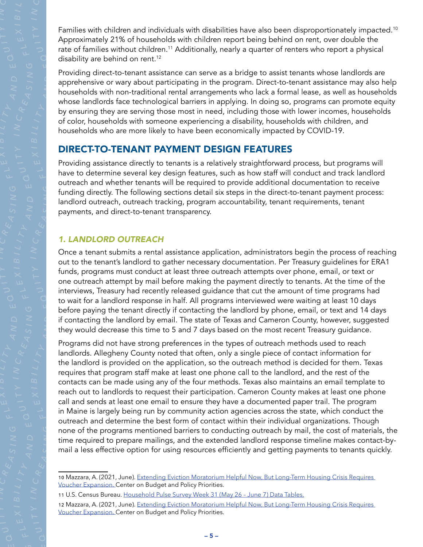Families with children and individuals with disabilities have also been disproportionately impacted.<sup>10</sup> Approximately 21% of households with children report being behind on rent, over double the rate of families without children.<sup>11</sup> Additionally, nearly a quarter of renters who report a physical disability are behind on rent.<sup>12</sup>

Providing direct-to-tenant assistance can serve as a bridge to assist tenants whose landlords are apprehensive or wary about participating in the program. Direct-to-tenant assistance may also help households with non-traditional rental arrangements who lack a formal lease, as well as households whose landlords face technological barriers in applying. In doing so, programs can promote equity by ensuring they are serving those most in need, including those with lower incomes, households of color, households with someone experiencing a disability, households with children, and households who are more likely to have been economically impacted by COVID-19.

## DIRECT-TO-TENANT PAYMENT DESIGN FEATURES

Providing assistance directly to tenants is a relatively straightforward process, but programs will have to determine several key design features, such as how staff will conduct and track landlord outreach and whether tenants will be required to provide additional documentation to receive funding directly. The following sections detail six steps in the direct-to-tenant payment process: landlord outreach, outreach tracking, program accountability, tenant requirements, tenant payments, and direct-to-tenant transparency.

#### *1. LANDLORD OUTREACH*

*A*

*E Q*

*A*

*S I N*

*G F*

*A NDE Q*

*S I N*

*G F*

*A NDE Q*

> Once a tenant submits a rental assistance application, administrators begin the process of reaching out to the tenant's landlord to gather necessary documentation. Per Treasury guidelines for ERA1 funds, programs must conduct at least three outreach attempts over phone, email, or text or one outreach attempt by mail before making the payment directly to tenants. At the time of the interviews, Treasury had recently released guidance that cut the amount of time programs had to wait for a landlord response in half. All programs interviewed were waiting at least 10 days before paying the tenant directly if contacting the landlord by phone, email, or text and 14 days if contacting the landlord by email. The state of Texas and Cameron County, however, suggested they would decrease this time to 5 and 7 days based on the most recent Treasury guidance.

> Programs did not have strong preferences in the types of outreach methods used to reach landlords. Allegheny County noted that often, only a single piece of contact information for the landlord is provided on the application, so the outreach method is decided for them. Texas requires that program staff make at least one phone call to the landlord, and the rest of the contacts can be made using any of the four methods. Texas also maintains an email template to reach out to landlords to request their participation. Cameron County makes at least one phone call and sends at least one email to ensure they have a documented paper trail. The program in Maine is largely being run by community action agencies across the state, which conduct the outreach and determine the best form of contact within their individual organizations. Though none of the programs mentioned barriers to conducting outreach by mail, the cost of materials, the time required to prepare mailings, and the extended landlord response timeline makes contact-bymail a less effective option for using resources efficiently and getting payments to tenants quickly.

<sup>10</sup> Mazzara, A. (2021, June). [Extending Eviction Moratorium Helpful Now, But Long-Term Housing Crisis Requires](https://www.cbpp.org/research/economy/labor-market-weaker-than-headline-numbers-suggest)  [Voucher Expansion.](https://www.cbpp.org/research/economy/labor-market-weaker-than-headline-numbers-suggest) Center on Budget and Policy Priorities.

<sup>11</sup> U.S. Census Bureau. [Household Pulse Survey Week 31 \(May 26 – June 7\) Data Tables.](https://www.census.gov/data/tables/2021/demo/hhp/hhp31.html)

<sup>12</sup> Mazzara, A. (2021, June). [Extending Eviction Moratorium Helpful Now, But Long-Term Housing Crisis Requires](https://www.cbpp.org/research/economy/labor-market-weaker-than-headline-numbers-suggest)  [Voucher Expansion.](https://www.cbpp.org/research/economy/labor-market-weaker-than-headline-numbers-suggest) Center on Budget and Policy Priorities.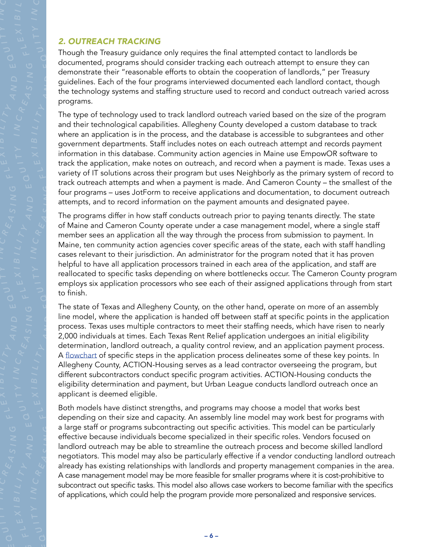#### *2. OUTREACH TRACKING*

*A*

*E Q*

*A*

*S I N*

*G F*

*A NDE Q*

*S I N*

*G F*

*A NDE Q*

Though the Treasury guidance only requires the final attempted contact to landlords be documented, programs should consider tracking each outreach attempt to ensure they can demonstrate their "reasonable efforts to obtain the cooperation of landlords," per Treasury guidelines. Each of the four programs interviewed documented each landlord contact, though the technology systems and staffing structure used to record and conduct outreach varied across programs.

The type of technology used to track landlord outreach varied based on the size of the program and their technological capabilities. Allegheny County developed a custom database to track where an application is in the process, and the database is accessible to subgrantees and other government departments. Staff includes notes on each outreach attempt and records payment information in this database. Community action agencies in Maine use EmpowOR software to track the application, make notes on outreach, and record when a payment is made. Texas uses a variety of IT solutions across their program but uses Neighborly as the primary system of record to track outreach attempts and when a payment is made. And Cameron County – the smallest of the four programs – uses JotForm to receive applications and documentation, to document outreach attempts, and to record information on the payment amounts and designated payee.

The programs differ in how staff conducts outreach prior to paying tenants directly. The state of Maine and Cameron County operate under a case management model, where a single staff member sees an application all the way through the process from submission to payment. In Maine, ten community action agencies cover specific areas of the state, each with staff handling cases relevant to their jurisdiction. An administrator for the program noted that it has proven helpful to have all application processors trained in each area of the application, and staff are reallocated to specific tasks depending on where bottlenecks occur. The Cameron County program employs six application processors who see each of their assigned applications through from start to finish.

The state of Texas and Allegheny County, on the other hand, operate on more of an assembly line model, where the application is handed off between staff at specific points in the application process. Texas uses multiple contractors to meet their staffing needs, which have risen to nearly 2,000 individuals at times. Each Texas Rent Relief application undergoes an initial eligibility determination, landlord outreach, a quality control review, and an application payment process. A [flowchart](https://texasrentrelief.com/wp-content/uploads/2021/05/From-Applying-to-Getting-Paid-Overview.pdf) of specific steps in the application process delineates some of these key points. In Allegheny County, ACTION-Housing serves as a lead contractor overseeing the program, but different subcontractors conduct specific program activities. ACTION-Housing conducts the eligibility determination and payment, but Urban League conducts landlord outreach once an applicant is deemed eligible.

Both models have distinct strengths, and programs may choose a model that works best depending on their size and capacity. An assembly line model may work best for programs with a large staff or programs subcontracting out specific activities. This model can be particularly effective because individuals become specialized in their specific roles. Vendors focused on landlord outreach may be able to streamline the outreach process and become skilled landlord negotiators. This model may also be particularly effective if a vendor conducting landlord outreach already has existing relationships with landlords and property management companies in the area. A case management model may be more feasible for smaller programs where it is cost-prohibitive to subcontract out specific tasks. This model also allows case workers to become familiar with the specifics of applications, which could help the program provide more personalized and responsive services.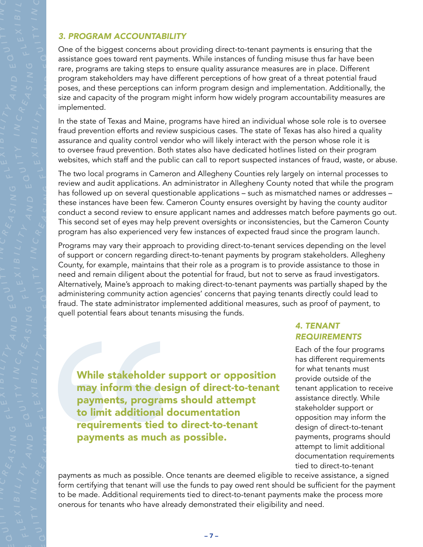*A*

*E Q*

*A*

*S I N*

*G F*

*A NDE Q*

*S I N*

*G F*

*A NDE Q*

One of the biggest concerns about providing direct-to-tenant payments is ensuring that the assistance goes toward rent payments. While instances of funding misuse thus far have been rare, programs are taking steps to ensure quality assurance measures are in place. Different program stakeholders may have different perceptions of how great of a threat potential fraud poses, and these perceptions can inform program design and implementation. Additionally, the size and capacity of the program might inform how widely program accountability measures are implemented.

In the state of Texas and Maine, programs have hired an individual whose sole role is to oversee fraud prevention efforts and review suspicious cases. The state of Texas has also hired a quality assurance and quality control vendor who will likely interact with the person whose role it is to oversee fraud prevention. Both states also have dedicated hotlines listed on their program websites, which staff and the public can call to report suspected instances of fraud, waste, or abuse.

The two local programs in Cameron and Allegheny Counties rely largely on internal processes to review and audit applications. An administrator in Allegheny County noted that while the program has followed up on several questionable applications – such as mismatched names or addresses – these instances have been few. Cameron County ensures oversight by having the county auditor conduct a second review to ensure applicant names and addresses match before payments go out. This second set of eyes may help prevent oversights or inconsistencies, but the Cameron County program has also experienced very few instances of expected fraud since the program launch.

Programs may vary their approach to providing direct-to-tenant services depending on the level of support or concern regarding direct-to-tenant payments by program stakeholders. Allegheny County, for example, maintains that their role as a program is to provide assistance to those in need and remain diligent about the potential for fraud, but not to serve as fraud investigators. Alternatively, Maine's approach to making direct-to-tenant payments was partially shaped by the administering community action agencies' concerns that paying tenants directly could lead to fraud. The state administrator implemented additional measures, such as proof of payment, to quell potential fears about tenants misusing the funds.

While stakeholder support or opposition may inform the design of direct-to-tenant payments, programs should attempt to limit additional documentation requirements tied to direct-to-tenant payments as much as possible.

## *4. TENANT REQUIREMENTS*

Each of the four programs has different requirements for what tenants must provide outside of the tenant application to receive assistance directly. While stakeholder support or opposition may inform the design of direct-to-tenant payments, programs should attempt to limit additional documentation requirements tied to direct-to-tenant

payments as much as possible. Once tenants are deemed eligible to receive assistance, a signed form certifying that tenant will use the funds to pay owed rent should be sufficient for the payment to be made. Additional requirements tied to direct-to-tenant payments make the process more onerous for tenants who have already demonstrated their eligibility and need.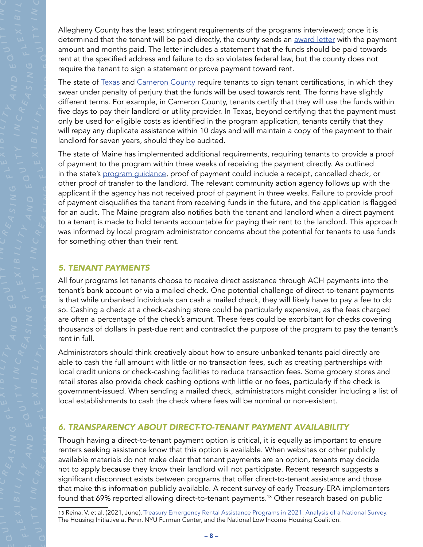Allegheny County has the least stringent requirements of the programs interviewed; once it is determined that the tenant will be paid directly, the county sends an [award letter](https://nlihc.org/sites/default/files/ERA_Resources-DTT-Allegheny_County.pdf) with the payment amount and months paid. The letter includes a statement that the funds should be paid towards rent at the specified address and failure to do so violates federal law, but the county does not require the tenant to sign a statement or prove payment toward rent.

The state of [Texas](https://texasrentrelief.com/wp-content/uploads/2021/04/TRR-Tenant-Certification.pdf) and [Cameron County](https://nlihc.org/sites/default/files/1_ERAP_Resources-DTT-Cameron_County_TX.pdf) require tenants to sign tenant certifications, in which they swear under penalty of perjury that the funds will be used towards rent. The forms have slightly different terms. For example, in Cameron County, tenants certify that they will use the funds within five days to pay their landlord or utility provider. In Texas, beyond certifying that the payment must only be used for eligible costs as identified in the program application, tenants certify that they will repay any duplicate assistance within 10 days and will maintain a copy of the payment to their landlord for seven years, should they be audited.

The state of Maine has implemented additional requirements, requiring tenants to provide a proof of payment to the program within three weeks of receiving the payment directly. As outlined in the state's [program guidance,](https://www.mainehousing.org/docs/default-source/ehs-partners-library/emergency-rental-assistance/program-documents/program-guides/era-program-guide.pdf?sfvrsn=f9d68915_16) proof of payment could include a receipt, cancelled check, or other proof of transfer to the landlord. The relevant community action agency follows up with the applicant if the agency has not received proof of payment in three weeks. Failure to provide proof of payment disqualifies the tenant from receiving funds in the future, and the application is flagged for an audit. The Maine program also notifies both the tenant and landlord when a direct payment to a tenant is made to hold tenants accountable for paying their rent to the landlord. This approach was informed by local program administrator concerns about the potential for tenants to use funds for something other than their rent.

#### *5. TENANT PAYMENTS*

*A*

*E Q*

*A*

*S I N*

*G F*

*A NDE Q*

*S I N*

*G F*

*A NDE Q*

> All four programs let tenants choose to receive direct assistance through ACH payments into the tenant's bank account or via a mailed check. One potential challenge of direct-to-tenant payments is that while unbanked individuals can cash a mailed check, they will likely have to pay a fee to do so. Cashing a check at a check-cashing store could be particularly expensive, as the fees charged are often a percentage of the check's amount. These fees could be exorbitant for checks covering thousands of dollars in past-due rent and contradict the purpose of the program to pay the tenant's rent in full.

> Administrators should think creatively about how to ensure unbanked tenants paid directly are able to cash the full amount with little or no transaction fees, such as creating partnerships with local credit unions or check-cashing facilities to reduce transaction fees. Some grocery stores and retail stores also provide check cashing options with little or no fees, particularly if the check is government-issued. When sending a mailed check, administrators might consider including a list of local establishments to cash the check where fees will be nominal or non-existent.

#### *6. TRANSPARENCY ABOUT DIRECT-TO-TENANT PAYMENT AVAILABILITY*

Though having a direct-to-tenant payment option is critical, it is equally as important to ensure renters seeking assistance know that this option is available. When websites or other publicly available materials do not make clear that tenant payments are an option, tenants may decide not to apply because they know their landlord will not participate. Recent research suggests a significant disconnect exists between programs that offer direct-to-tenant assistance and those that make this information publicly available. A recent survey of early Treasury-ERA implementers found that 69% reported allowing direct-to-tenant payments.<sup>13</sup> Other research based on public

<sup>13</sup> Reina, V. et al. (2021, June). Treasury Emergency Rental Assistance Programs in 2021: Analysis of a National Survey. The Housing Initiative at Penn, NYU Furman Center, and the National Low Income Housing Coalition.